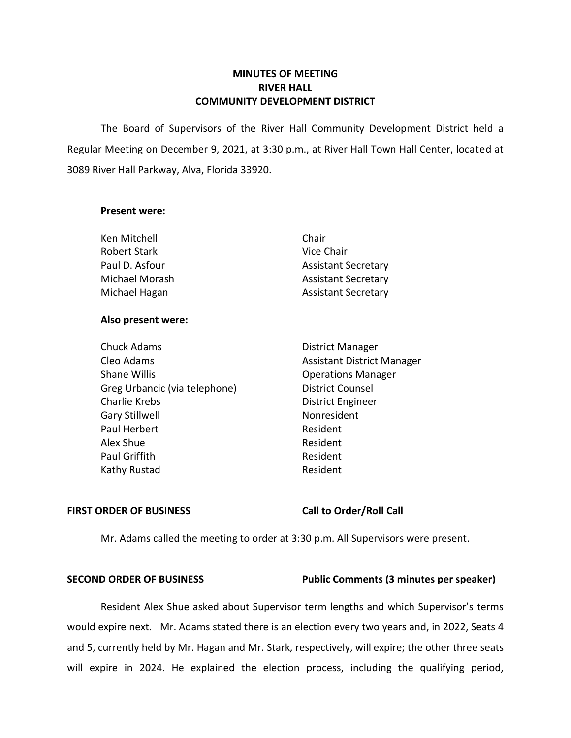# **MINUTES OF MEETING RIVER HALL COMMUNITY DEVELOPMENT DISTRICT**

 The Board of Supervisors of the River Hall Community Development District held a Regular Meeting on December 9, 2021, at 3:30 p.m., at River Hall Town Hall Center, located at 3089 River Hall Parkway, Alva, Florida 33920.

### **Present were:**

### **Also present were:**

| <b>Chuck Adams</b>            | <b>District Manager</b>           |
|-------------------------------|-----------------------------------|
| Cleo Adams                    | <b>Assistant District Manager</b> |
| <b>Shane Willis</b>           | <b>Operations Manager</b>         |
| Greg Urbancic (via telephone) | <b>District Counsel</b>           |
| <b>Charlie Krebs</b>          | District Engineer                 |
| Gary Stillwell                | Nonresident                       |
| Paul Herbert                  | Resident                          |
| Alex Shue                     | Resident                          |
| Paul Griffith                 | Resident                          |
| Kathy Rustad                  | Resident                          |

### FIRST ORDER OF BUSINESS Call to Order/Roll Call

Mr. Adams called the meeting to order at 3:30 p.m. All Supervisors were present.

### **SECOND ORDER OF BUSINESS Public Comments (3 minutes per speaker)**

Resident Alex Shue asked about Supervisor term lengths and which Supervisor's terms would expire next. Mr. Adams stated there is an election every two years and, in 2022, Seats 4 and 5, currently held by Mr. Hagan and Mr. Stark, respectively, will expire; the other three seats will expire in 2024. He explained the election process, including the qualifying period,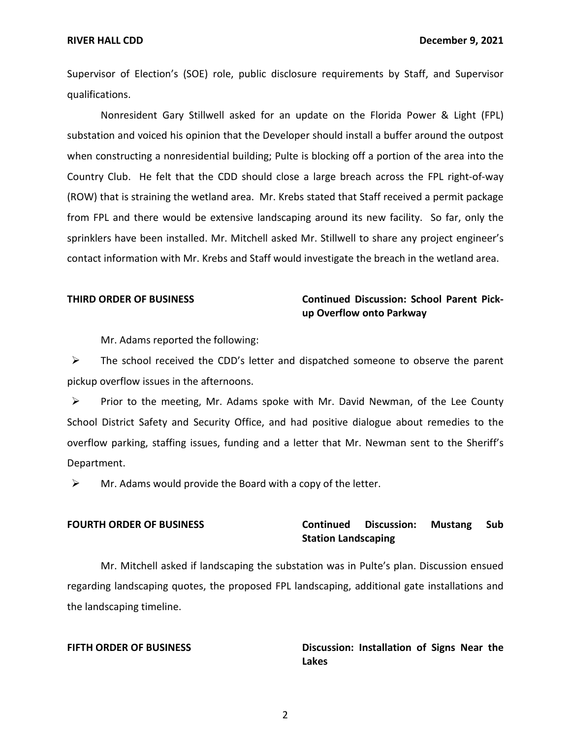Supervisor of Election's (SOE) role, public disclosure requirements by Staff, and Supervisor qualifications.

Nonresident Gary Stillwell asked for an update on the Florida Power & Light (FPL) substation and voiced his opinion that the Developer should install a buffer around the outpost when constructing a nonresidential building; Pulte is blocking off a portion of the area into the Country Club. He felt that the CDD should close a large breach across the FPL right-of-way (ROW) that is straining the wetland area. Mr. Krebs stated that Staff received a permit package from FPL and there would be extensive landscaping around its new facility. So far, only the sprinklers have been installed. Mr. Mitchell asked Mr. Stillwell to share any project engineer's contact information with Mr. Krebs and Staff would investigate the breach in the wetland area.

# **THIRD ORDER OF BUSINESS Continued Discussion: School Parent Pickup Overflow onto Parkway**

Mr. Adams reported the following:

 $\triangleright$  The school received the CDD's letter and dispatched someone to observe the parent pickup overflow issues in the afternoons.

 $\triangleright$  Prior to the meeting, Mr. Adams spoke with Mr. David Newman, of the Lee County School District Safety and Security Office, and had positive dialogue about remedies to the overflow parking, staffing issues, funding and a letter that Mr. Newman sent to the Sheriff's Department.

 $\triangleright$  Mr. Adams would provide the Board with a copy of the letter.

## **FOURTH ORDER OF BUSINESS Continued Discussion: Mustang Sub Station Landscaping**

Mr. Mitchell asked if landscaping the substation was in Pulte's plan. Discussion ensued regarding landscaping quotes, the proposed FPL landscaping, additional gate installations and the landscaping timeline.

**FIFTH ORDER OF BUSINESS Discussion: Installation of Signs Near the Lakes** 

2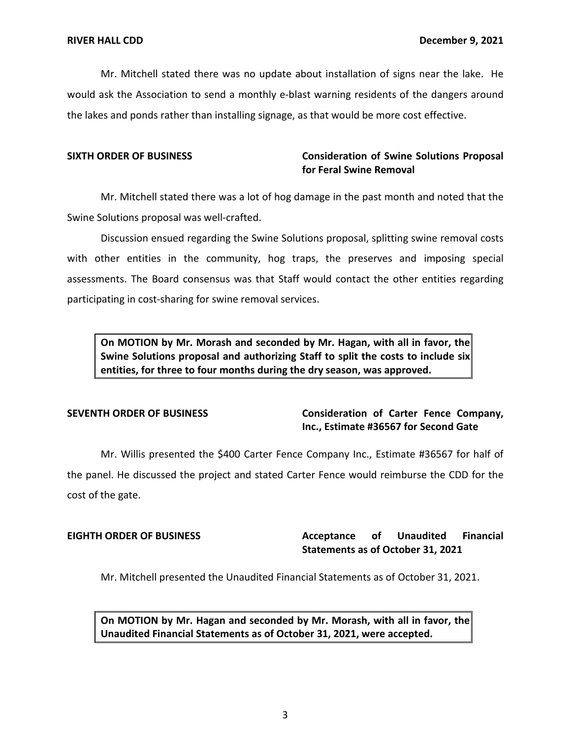Mr. Mitchell stated there was no update about installation of signs near the lake. He would ask the Association to send a monthly e-blast warning residents of the dangers around the lakes and ponds rather than installing signage, as that would be more cost effective.

# **SIXTH ORDER OF BUSINESS Consideration of Swine Solutions Proposal for Feral Swine Removal**

Mr. Mitchell stated there was a lot of hog damage in the past month and noted that the Swine Solutions proposal was well-crafted.

Discussion ensued regarding the Swine Solutions proposal, splitting swine removal costs with other entities in the community, hog traps, the preserves and imposing special assessments. The Board consensus was that Staff would contact the other entities regarding participating in cost-sharing for swine removal services.

 **On MOTION by Mr. Morash and seconded by Mr. Hagan, with all in favor, the Swine Solutions proposal and authorizing Staff to split the costs to include six entities, for three to four months during the dry season, was approved.** 

# **SEVENTH ORDER OF BUSINESS Consideration of Carter Fence Company, Inc., Estimate #36567 for Second Gate**

Mr. Willis presented the \$400 Carter Fence Company Inc., Estimate #36567 for half of the panel. He discussed the project and stated Carter Fence would reimburse the CDD for the cost of the gate.

### **Unaudited Statements as of October 31, 2021 EIGHTH ORDER OF BUSINESS Acceptance of Unaudited Financial**

Mr. Mitchell presented the Unaudited Financial Statements as of October 31, 2021.

 **On MOTION by Mr. Hagan and seconded by Mr. Morash, with all in favor, the Unaudited Financial Statements as of October 31, 2021, were accepted.**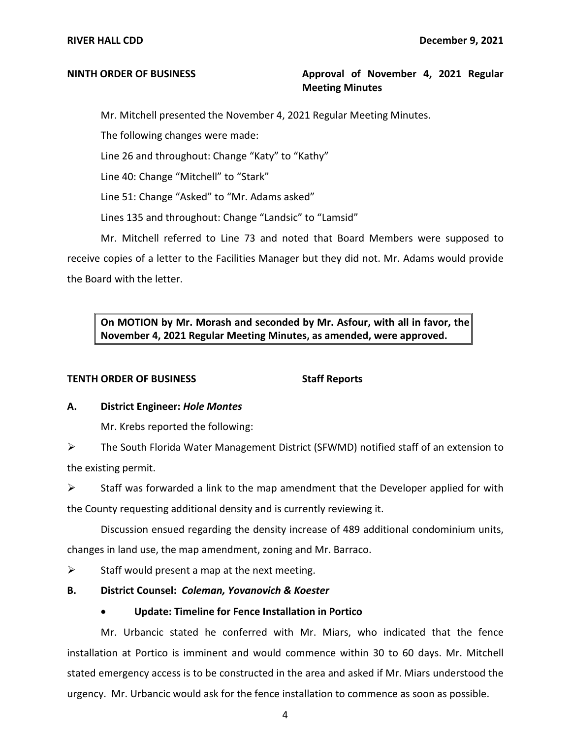# **NINTH ORDER OF BUSINESS Approval of November 4, 2021 Regular Meeting Minutes**

Mr. Mitchell presented the November 4, 2021 Regular Meeting Minutes.

The following changes were made:

Line 26 and throughout: Change "Katy" to "Kathy"

Line 40: Change "Mitchell" to "Stark"

Line 51: Change "Asked" to "Mr. Adams asked"

Lines 135 and throughout: Change "Landsic" to "Lamsid"

Mr. Mitchell referred to Line 73 and noted that Board Members were supposed to receive copies of a letter to the Facilities Manager but they did not. Mr. Adams would provide the Board with the letter.

 **On MOTION by Mr. Morash and seconded by Mr. Asfour, with all in favor, the November 4, 2021 Regular Meeting Minutes, as amended, were approved.** 

# **TENTH ORDER OF BUSINESS** Staff Reports

### **A. District Engineer:** *Hole Montes*

Mr. Krebs reported the following:

➢ The South Florida Water Management District (SFWMD) notified staff of an extension to the existing permit.

 $\triangleright$  Staff was forwarded a link to the map amendment that the Developer applied for with the County requesting additional density and is currently reviewing it.

Discussion ensued regarding the density increase of 489 additional condominium units,

changes in land use, the map amendment, zoning and Mr. Barraco.

 $\triangleright$  Staff would present a map at the next meeting.

- **B. District Counsel:** *Coleman, Yovanovich & Koester* 
	- **Update: Timeline for Fence Installation in Portico**

Mr. Urbancic stated he conferred with Mr. Miars, who indicated that the fence installation at Portico is imminent and would commence within 30 to 60 days. Mr. Mitchell stated emergency access is to be constructed in the area and asked if Mr. Miars understood the urgency. Mr. Urbancic would ask for the fence installation to commence as soon as possible.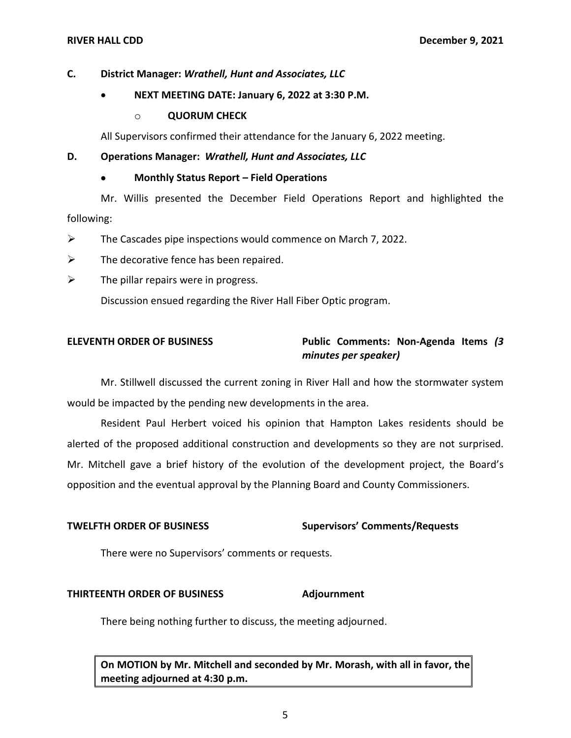# **C. District Manager:** *Wrathell, Hunt and Associates, LLC*

# • **NEXT MEETING DATE: January 6, 2022 at 3:30 P.M.**

## o **QUORUM CHECK**

All Supervisors confirmed their attendance for the January 6, 2022 meeting.

### **D. Operations Manager:** *Wrathell, Hunt and Associates, LLC*

### • **Monthly Status Report – Field Operations**

Mr. Willis presented the December Field Operations Report and highlighted the following:

- $\triangleright$  The Cascades pipe inspections would commence on March 7, 2022.
- $\triangleright$  The decorative fence has been repaired.
- $\triangleright$  The pillar repairs were in progress.

Discussion ensued regarding the River Hall Fiber Optic program.

# **ELEVENTH ORDER OF BUSINESS Public Comments: Non-Agenda Items** *(3 minutes per speaker)*

Mr. Stillwell discussed the current zoning in River Hall and how the stormwater system would be impacted by the pending new developments in the area.

Resident Paul Herbert voiced his opinion that Hampton Lakes residents should be alerted of the proposed additional construction and developments so they are not surprised. Mr. Mitchell gave a brief history of the evolution of the development project, the Board's opposition and the eventual approval by the Planning Board and County Commissioners.

# **TWELFTH ORDER OF BUSINESS Supervisors' Comments/Requests**

There were no Supervisors' comments or requests.

### **THIRTEENTH ORDER OF BUSINESS Adjournment**

There being nothing further to discuss, the meeting adjourned.

 **On MOTION by Mr. Mitchell and seconded by Mr. Morash, with all in favor, the meeting adjourned at 4:30 p.m.**